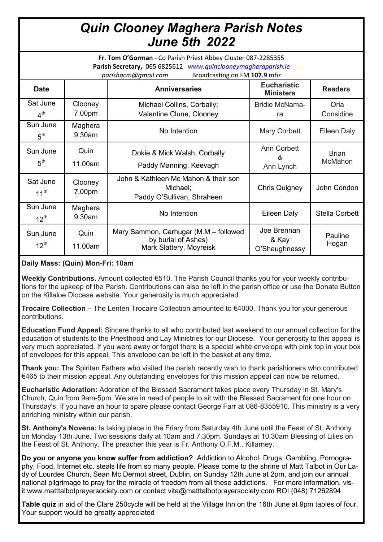# *Quin Clooney Maghera Parish Notes June 5th 2022*

**Fr. Tom O'Gorman** - Co Parish Priest Abbey Cluster 087-2285355 **Parish Secretary,** 065 6825612 *www.quinclooneymagheraparish.ie* 

| Broadcasting on FM 107.9 mhz<br>parishqcm@gmail.com |                   |                                                                                         |                                        |                         |
|-----------------------------------------------------|-------------------|-----------------------------------------------------------------------------------------|----------------------------------------|-------------------------|
| <b>Date</b>                                         |                   | <b>Anniversaries</b>                                                                    | <b>Eucharistic</b><br><b>Ministers</b> | <b>Readers</b>          |
| Sat June<br>4 <sup>th</sup>                         | Clooney<br>7.00pm | Michael Collins, Corbally;<br>Valentine Clune, Clooney                                  | <b>Bridie McNama-</b><br>ra            | Orla<br>Considine       |
| Sun June<br>5 <sup>th</sup>                         | Maghera<br>9.30am | No Intention                                                                            | Mary Corbett                           | <b>Eileen Daly</b>      |
| Sun June<br>5 <sup>th</sup>                         | Quin<br>11.00am   | Dokie & Mick Walsh, Corbally<br>Paddy Manning, Keevagh                                  | Ann Corbett<br>&<br>Ann Lynch          | <b>Brian</b><br>McMahon |
| Sat June<br>$11^{th}$                               | Clooney<br>7.00pm | John & Kathleen Mc Mahon & their son<br>Michael;<br>Paddy O'Sullivan, Shraheen          | <b>Chris Quigney</b>                   | John Condon             |
| Sun June<br>$12^{th}$                               | Maghera<br>9.30am | No Intention                                                                            | Eileen Daly                            | <b>Stella Corbett</b>   |
| Sun June<br>$12^{th}$                               | Quin<br>11.00am   | Mary Sammon, Carhugar (M.M - followed<br>by burial of Ashes)<br>Mark Slattery, Moyreisk | Joe Brennan<br>& Kay<br>O'Shaughnessy  | Pauline<br>Hogan        |

## **Daily Mass: (Quin) Mon-Fri: 10am**

**Weekly Contributions.** Amount collected €510. The Parish Council thanks you for your weekly contributions for the upkeep of the Parish. Contributions can also be left in the parish office or use the Donate Button on the Killaloe Diocese website. Your generosity is much appreciated.

**Trocaire Collection –** The Lenten Trocaire Collection amounted to €4000. Thank you for your generous contributions.

**Education Fund Appeal:** Sincere thanks to all who contributed last weekend to our annual collection for the education of students to the Priesthood and Lay Ministries for our Diocese. Your generosity to this appeal is very much appreciated. If you were away or forgot there is a special white envelope with pink top in your box of envelopes for this appeal. This envelope can be left in the basket at any time.

**Thank you:** The Spiritan Fathers who visited the parish recently wish to thank parishioners who contributed €465 to their mission appeal. Any outstanding envelopes for this mission appeal can now be returned.

**Eucharistic Adoration:** Adoration of the Blessed Sacrament takes place every Thursday in St. Mary's Church, Quin from 9am-5pm. We are in need of people to sit with the Blessed Sacrament for one hour on Thursday's. If you have an hour to spare please contact George Farr at 086-8355910. This ministry is a very enriching ministry within our parish.

**St. Anthony's Novena:** Is taking place in the Friary from Saturday 4th June until the Feast of St. Anthony on Monday 13th June. Two sessions daily at 10am and 7.30pm. Sundays at 10.30am Blessing of Lilies on the Feast of St. Anthony. The preacher this year is Fr. Anthony O.F.M., Killarney.

**Do you or anyone you know suffer from addiction?** Addiction to Alcohol, Drugs, Gambling, Pornography, Food, Internet etc. steals life from so many people. Please come to the shrine of Matt Talbot in Our Lady of Lourdes Church, Sean Mc Dermot street, Dublin, on Sunday 12th June at 2pm, and join our annual national pilgrimage to pray for the miracle of freedom from all these addictions. For more information, visit www.matttalbotprayersociety.com or contact vita@matttalbotprayersociety.com ROI (048) 71262894

**Table quiz** in aid of the Clare 250cycle will be held at the Village Inn on the 16th June at 9pm tables of four. Your support would be greatly appreciated